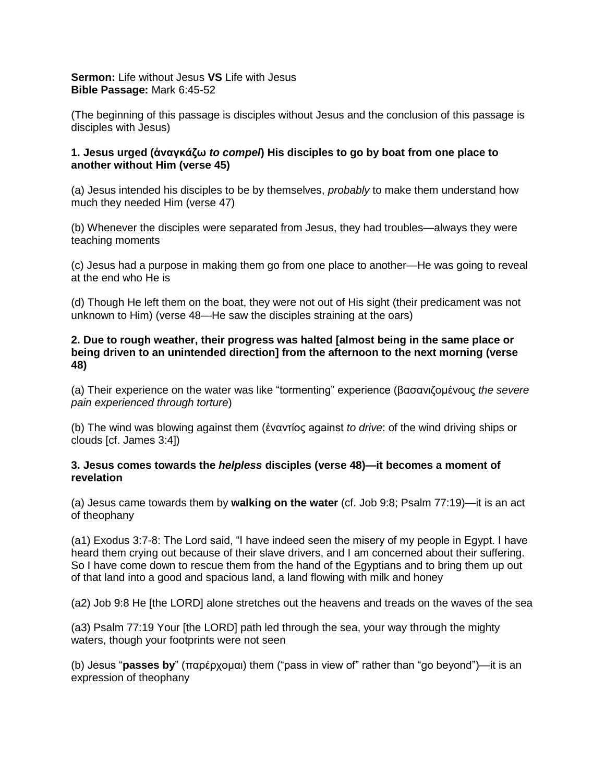**Sermon:** Life without Jesus **VS** Life with Jesus **Bible Passage:** Mark 6:45-52

(The beginning of this passage is disciples without Jesus and the conclusion of this passage is disciples with Jesus)

## **1. Jesus urged (ἀναγκάζω** *to compel***) His disciples to go by boat from one place to another without Him (verse 45)**

(a) Jesus intended his disciples to be by themselves, *probably* to make them understand how much they needed Him (verse 47)

(b) Whenever the disciples were separated from Jesus, they had troubles—always they were teaching moments

(c) Jesus had a purpose in making them go from one place to another—He was going to reveal at the end who He is

(d) Though He left them on the boat, they were not out of His sight (their predicament was not unknown to Him) (verse 48—He saw the disciples straining at the oars)

## **2. Due to rough weather, their progress was halted [almost being in the same place or being driven to an unintended direction] from the afternoon to the next morning (verse 48)**

(a) Their experience on the water was like "tormenting" experience (βασανιζομένους *the severe pain experienced through torture*)

(b) The wind was blowing against them (ἐναντίος against *to drive*: of the wind driving ships or clouds [cf. James 3:4])

## **3. Jesus comes towards the** *helpless* **disciples (verse 48)—it becomes a moment of revelation**

(a) Jesus came towards them by **walking on the water** (cf. Job 9:8; Psalm 77:19)—it is an act of theophany

(a1) Exodus 3:7-8: The Lord said, "I have indeed seen the misery of my people in Egypt. I have heard them crying out because of their slave drivers, and I am concerned about their suffering. So I have come down to rescue them from the hand of the Egyptians and to bring them up out of that land into a good and spacious land, a land flowing with milk and honey

(a2) Job 9:8 He [the LORD] alone stretches out the heavens and treads on the waves of the sea

(a3) Psalm 77:19 Your [the LORD] path led through the sea, your way through the mighty waters, though your footprints were not seen

(b) Jesus "**passes by**" (παρέρχομαι) them ("pass in view of" rather than "go beyond")—it is an expression of theophany